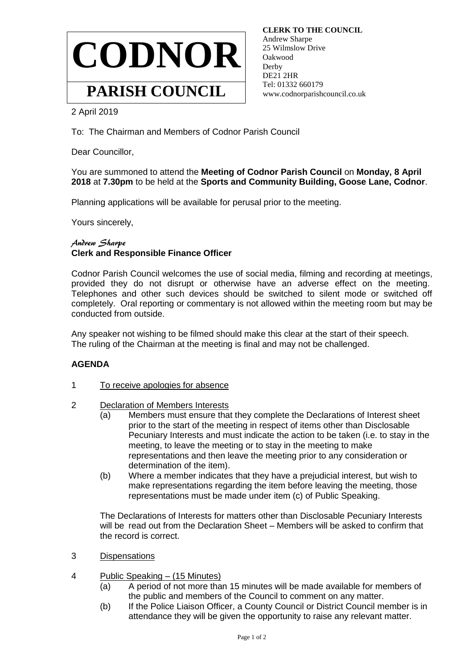

 **CLERK TO THE COUNCIL** Andrew Sharpe 25 Wilmslow Drive Oakwood **Derby**  DE21 2HR Tel: 01332 660179 www.codnorparishcouncil.co.uk

2 April 2019

To: The Chairman and Members of Codnor Parish Council

Dear Councillor,

You are summoned to attend the **Meeting of Codnor Parish Council** on **Monday, 8 April 2018** at **7.30pm** to be held at the **Sports and Community Building, Goose Lane, Codnor**.

Planning applications will be available for perusal prior to the meeting.

Yours sincerely,

## Andrew Sharpe **Clerk and Responsible Finance Officer**

Codnor Parish Council welcomes the use of social media, filming and recording at meetings, provided they do not disrupt or otherwise have an adverse effect on the meeting. Telephones and other such devices should be switched to silent mode or switched off completely. Oral reporting or commentary is not allowed within the meeting room but may be conducted from outside.

Any speaker not wishing to be filmed should make this clear at the start of their speech. The ruling of the Chairman at the meeting is final and may not be challenged.

## **AGENDA**

- 1 To receive apologies for absence
- 2 Declaration of Members Interests
	- (a) Members must ensure that they complete the Declarations of Interest sheet prior to the start of the meeting in respect of items other than Disclosable Pecuniary Interests and must indicate the action to be taken (i.e. to stay in the meeting, to leave the meeting or to stay in the meeting to make representations and then leave the meeting prior to any consideration or determination of the item).
	- (b) Where a member indicates that they have a prejudicial interest, but wish to make representations regarding the item before leaving the meeting, those representations must be made under item (c) of Public Speaking.

The Declarations of Interests for matters other than Disclosable Pecuniary Interests will be read out from the Declaration Sheet – Members will be asked to confirm that the record is correct.

- 3 Dispensations
- 4 Public Speaking (15 Minutes)
	- (a) A period of not more than 15 minutes will be made available for members of the public and members of the Council to comment on any matter.
	- (b) If the Police Liaison Officer, a County Council or District Council member is in attendance they will be given the opportunity to raise any relevant matter.